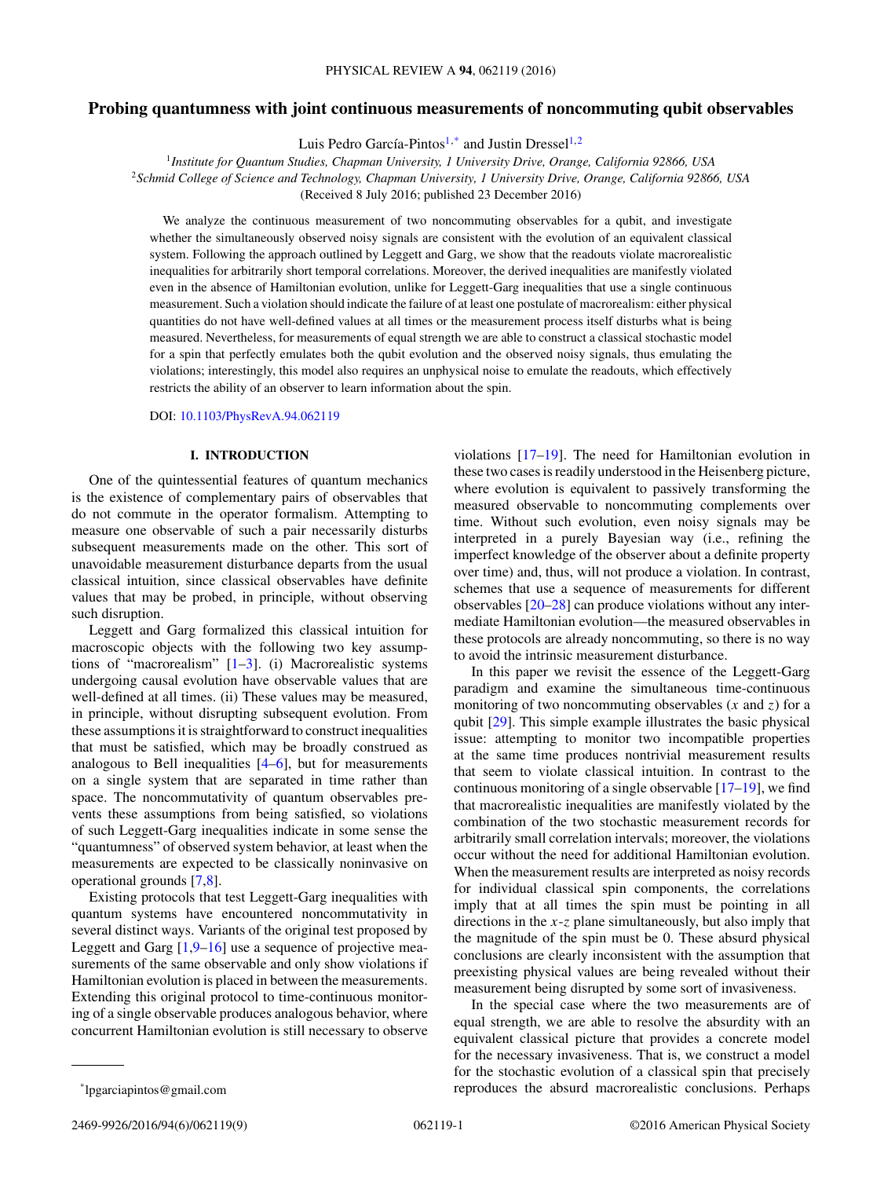# <span id="page-0-0"></span>**Probing quantumness with joint continuous measurements of noncommuting qubit observables**

Luis Pedro García-Pintos<sup>1,\*</sup> and Justin Dressel<sup>1,2</sup>

<sup>1</sup>*Institute for Quantum Studies, Chapman University, 1 University Drive, Orange, California 92866, USA* <sup>2</sup>*Schmid College of Science and Technology, Chapman University, 1 University Drive, Orange, California 92866, USA* (Received 8 July 2016; published 23 December 2016)

We analyze the continuous measurement of two noncommuting observables for a qubit, and investigate whether the simultaneously observed noisy signals are consistent with the evolution of an equivalent classical system. Following the approach outlined by Leggett and Garg, we show that the readouts violate macrorealistic inequalities for arbitrarily short temporal correlations. Moreover, the derived inequalities are manifestly violated even in the absence of Hamiltonian evolution, unlike for Leggett-Garg inequalities that use a single continuous measurement. Such a violation should indicate the failure of at least one postulate of macrorealism: either physical quantities do not have well-defined values at all times or the measurement process itself disturbs what is being measured. Nevertheless, for measurements of equal strength we are able to construct a classical stochastic model for a spin that perfectly emulates both the qubit evolution and the observed noisy signals, thus emulating the violations; interestingly, this model also requires an unphysical noise to emulate the readouts, which effectively restricts the ability of an observer to learn information about the spin.

DOI: [10.1103/PhysRevA.94.062119](https://doi.org/10.1103/PhysRevA.94.062119)

#### **I. INTRODUCTION**

One of the quintessential features of quantum mechanics is the existence of complementary pairs of observables that do not commute in the operator formalism. Attempting to measure one observable of such a pair necessarily disturbs subsequent measurements made on the other. This sort of unavoidable measurement disturbance departs from the usual classical intuition, since classical observables have definite values that may be probed, in principle, without observing such disruption.

Leggett and Garg formalized this classical intuition for macroscopic objects with the following two key assumptions of "macrorealism" [\[1–3\]](#page-6-0). (i) Macrorealistic systems undergoing causal evolution have observable values that are well-defined at all times. (ii) These values may be measured, in principle, without disrupting subsequent evolution. From these assumptions it is straightforward to construct inequalities that must be satisfied, which may be broadly construed as analogous to Bell inequalities [\[4–6\]](#page-6-0), but for measurements on a single system that are separated in time rather than space. The noncommutativity of quantum observables prevents these assumptions from being satisfied, so violations of such Leggett-Garg inequalities indicate in some sense the "quantumness" of observed system behavior, at least when the measurements are expected to be classically noninvasive on operational grounds [\[7,8\]](#page-7-0).

Existing protocols that test Leggett-Garg inequalities with quantum systems have encountered noncommutativity in several distinct ways. Variants of the original test proposed by Leggett and Garg  $[1,9-16]$  $[1,9-16]$  use a sequence of projective measurements of the same observable and only show violations if Hamiltonian evolution is placed in between the measurements. Extending this original protocol to time-continuous monitoring of a single observable produces analogous behavior, where concurrent Hamiltonian evolution is still necessary to observe

violations [\[17–19\]](#page-7-0). The need for Hamiltonian evolution in these two cases is readily understood in the Heisenberg picture, where evolution is equivalent to passively transforming the measured observable to noncommuting complements over time. Without such evolution, even noisy signals may be interpreted in a purely Bayesian way (i.e., refining the imperfect knowledge of the observer about a definite property over time) and, thus, will not produce a violation. In contrast, schemes that use a sequence of measurements for different observables [\[20–28\]](#page-7-0) can produce violations without any intermediate Hamiltonian evolution—the measured observables in these protocols are already noncommuting, so there is no way to avoid the intrinsic measurement disturbance.

In this paper we revisit the essence of the Leggett-Garg paradigm and examine the simultaneous time-continuous monitoring of two noncommuting observables (*x* and *z*) for a qubit [\[29\]](#page-7-0). This simple example illustrates the basic physical issue: attempting to monitor two incompatible properties at the same time produces nontrivial measurement results that seem to violate classical intuition. In contrast to the continuous monitoring of a single observable [\[17–19\]](#page-7-0), we find that macrorealistic inequalities are manifestly violated by the combination of the two stochastic measurement records for arbitrarily small correlation intervals; moreover, the violations occur without the need for additional Hamiltonian evolution. When the measurement results are interpreted as noisy records for individual classical spin components, the correlations imply that at all times the spin must be pointing in all directions in the *x*-*z* plane simultaneously, but also imply that the magnitude of the spin must be 0. These absurd physical conclusions are clearly inconsistent with the assumption that preexisting physical values are being revealed without their measurement being disrupted by some sort of invasiveness.

In the special case where the two measurements are of equal strength, we are able to resolve the absurdity with an equivalent classical picture that provides a concrete model for the necessary invasiveness. That is, we construct a model for the stochastic evolution of a classical spin that precisely reproduces the absurd macrorealistic conclusions. Perhaps

<sup>\*</sup>lpgarciapintos@gmail.com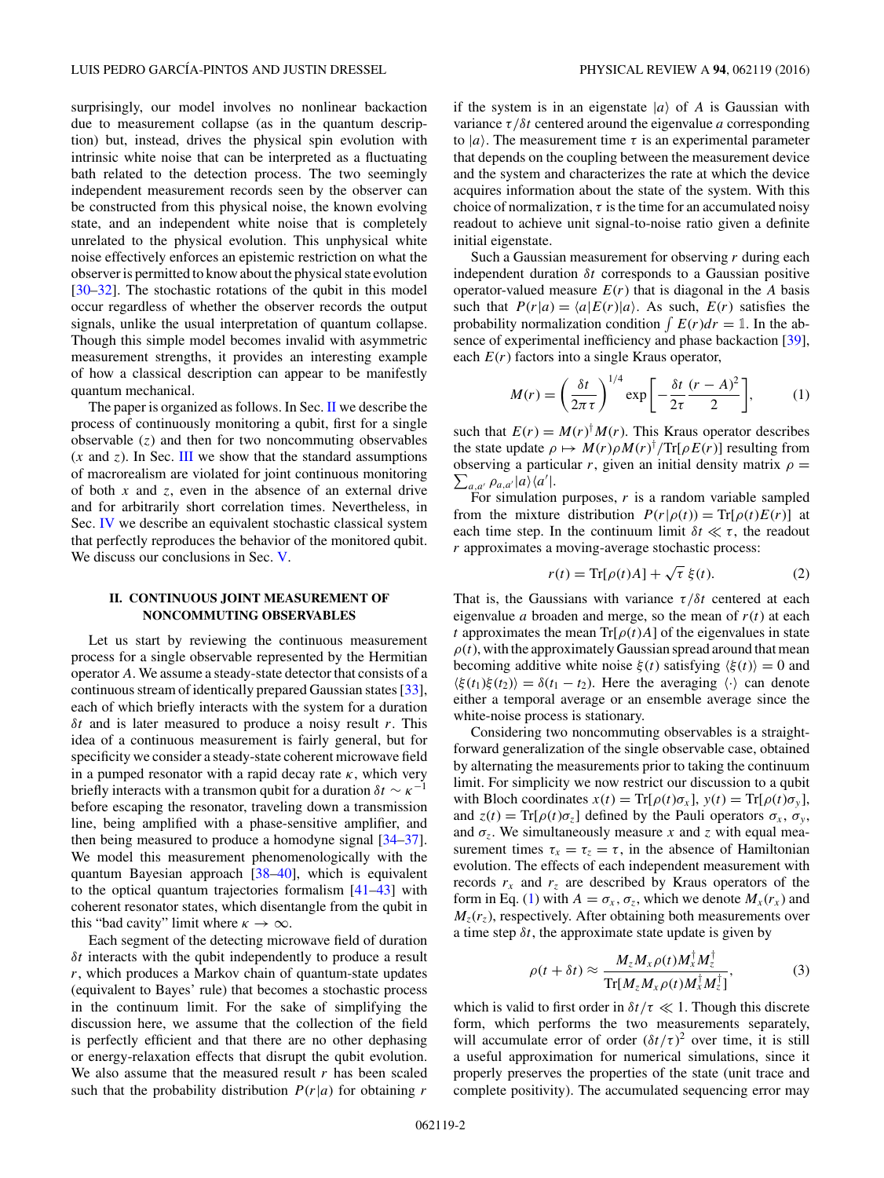<span id="page-1-0"></span>surprisingly, our model involves no nonlinear backaction due to measurement collapse (as in the quantum description) but, instead, drives the physical spin evolution with intrinsic white noise that can be interpreted as a fluctuating bath related to the detection process. The two seemingly independent measurement records seen by the observer can be constructed from this physical noise, the known evolving state, and an independent white noise that is completely unrelated to the physical evolution. This unphysical white noise effectively enforces an epistemic restriction on what the observer is permitted to know about the physical state evolution [\[30–32\]](#page-7-0). The stochastic rotations of the qubit in this model occur regardless of whether the observer records the output signals, unlike the usual interpretation of quantum collapse. Though this simple model becomes invalid with asymmetric measurement strengths, it provides an interesting example of how a classical description can appear to be manifestly quantum mechanical.

The paper is organized as follows. In Sec. II we describe the process of continuously monitoring a qubit, first for a single observable (*z*) and then for two noncommuting observables  $(x \text{ and } z)$ . In Sec. [III](#page-3-0) we show that the standard assumptions of macrorealism are violated for joint continuous monitoring of both *x* and *z*, even in the absence of an external drive and for arbitrarily short correlation times. Nevertheless, in Sec. [IV](#page-5-0) we describe an equivalent stochastic classical system that perfectly reproduces the behavior of the monitored qubit. We discuss our conclusions in Sec. [V.](#page-6-0)

# **II. CONTINUOUS JOINT MEASUREMENT OF NONCOMMUTING OBSERVABLES**

Let us start by reviewing the continuous measurement process for a single observable represented by the Hermitian operator *A*. We assume a steady-state detector that consists of a continuous stream of identically prepared Gaussian states [\[33\]](#page-7-0), each of which briefly interacts with the system for a duration *δt* and is later measured to produce a noisy result *r*. This idea of a continuous measurement is fairly general, but for specificity we consider a steady-state coherent microwave field in a pumped resonator with a rapid decay rate *κ*, which very briefly interacts with a transmon qubit for a duration  $\delta t \sim \kappa^{-1}$ before escaping the resonator, traveling down a transmission line, being amplified with a phase-sensitive amplifier, and then being measured to produce a homodyne signal [\[34–37\]](#page-7-0). We model this measurement phenomenologically with the quantum Bayesian approach [\[38–40\]](#page-7-0), which is equivalent to the optical quantum trajectories formalism [\[41–43\]](#page-8-0) with coherent resonator states, which disentangle from the qubit in this "bad cavity" limit where  $\kappa \to \infty$ .

Each segment of the detecting microwave field of duration *δt* interacts with the qubit independently to produce a result *r*, which produces a Markov chain of quantum-state updates (equivalent to Bayes' rule) that becomes a stochastic process in the continuum limit. For the sake of simplifying the discussion here, we assume that the collection of the field is perfectly efficient and that there are no other dephasing or energy-relaxation effects that disrupt the qubit evolution. We also assume that the measured result *r* has been scaled such that the probability distribution  $P(r|a)$  for obtaining *r* 

if the system is in an eigenstate  $|a\rangle$  of *A* is Gaussian with variance *τ/δt* centered around the eigenvalue *a* corresponding to  $|a\rangle$ . The measurement time  $\tau$  is an experimental parameter that depends on the coupling between the measurement device and the system and characterizes the rate at which the device acquires information about the state of the system. With this choice of normalization,  $\tau$  is the time for an accumulated noisy readout to achieve unit signal-to-noise ratio given a definite initial eigenstate.

Such a Gaussian measurement for observing *r* during each independent duration *δt* corresponds to a Gaussian positive operator-valued measure  $E(r)$  that is diagonal in the *A* basis such that  $P(r|a) = \langle a|E(r)|a \rangle$ . As such,  $E(r)$  satisfies the probability normalization condition  $\int E(r) dr = 1$ . In the ab-sence of experimental inefficiency and phase backaction [\[39\]](#page-7-0), each *E*(*r*) factors into a single Kraus operator,

$$
M(r) = \left(\frac{\delta t}{2\pi\tau}\right)^{1/4} \exp\left[-\frac{\delta t}{2\tau}\frac{(r-A)^2}{2}\right],\tag{1}
$$

such that  $E(r) = M(r)^\dagger M(r)$ . This Kraus operator describes the state update  $\rho \mapsto M(r) \rho M(r)^{\dagger} / \text{Tr}[\rho E(r)]$  resulting from observing a particular *r*, given an initial density matrix  $\rho = \sum_{\alpha \in \mathcal{O}_n} \frac{\rho_{\alpha \alpha'} |a\rangle \langle a'|}{\sqrt{n}}$ .  $a_{a,a'}$   $\rho_{a,a'}$   $|a\rangle$   $\langle a'|$ .

For simulation purposes, *r* is a random variable sampled from the mixture distribution  $P(r|\rho(t)) = \text{Tr}[\rho(t)E(r)]$  at each time step. In the continuum limit  $\delta t \ll \tau$ , the readout *r* approximates a moving-average stochastic process:

$$
r(t) = \text{Tr}[\rho(t)A] + \sqrt{\tau} \xi(t).
$$
 (2)

That is, the Gaussians with variance  $\tau/\delta t$  centered at each eigenvalue *a* broaden and merge, so the mean of  $r(t)$  at each *t* approximates the mean  $Tr[\rho(t)A]$  of the eigenvalues in state  $\rho(t)$ , with the approximately Gaussian spread around that mean becoming additive white noise  $\xi(t)$  satisfying  $\langle \xi(t) \rangle = 0$  and  $\langle \xi(t_1)\xi(t_2)\rangle = \delta(t_1 - t_2)$ . Here the averaging  $\langle \cdot \rangle$  can denote either a temporal average or an ensemble average since the white-noise process is stationary.

Considering two noncommuting observables is a straightforward generalization of the single observable case, obtained by alternating the measurements prior to taking the continuum limit. For simplicity we now restrict our discussion to a qubit with Bloch coordinates  $x(t) = \text{Tr}[\rho(t)\sigma_x]$ ,  $y(t) = \text{Tr}[\rho(t)\sigma_y]$ , and  $z(t) = \text{Tr}[\rho(t)\sigma_z]$  defined by the Pauli operators  $\sigma_x$ ,  $\sigma_y$ , and  $\sigma_z$ . We simultaneously measure *x* and *z* with equal measurement times  $\tau_x = \tau_z = \tau$ , in the absence of Hamiltonian evolution. The effects of each independent measurement with records  $r_x$  and  $r_z$  are described by Kraus operators of the form in Eq. (1) with  $A = \sigma_x, \sigma_z$ , which we denote  $M_x(r_x)$  and  $M_z(r_z)$ , respectively. After obtaining both measurements over a time step *δt*, the approximate state update is given by

$$
\rho(t+\delta t) \approx \frac{M_z M_x \rho(t) M_x^{\dagger} M_z^{\dagger}}{\text{Tr}[M_z M_x \rho(t) M_x^{\dagger} M_z^{\dagger}]},
$$
(3)

which is valid to first order in  $\delta t / \tau \ll 1$ . Though this discrete form, which performs the two measurements separately, will accumulate error of order  $(\delta t/\tau)^2$  over time, it is still a useful approximation for numerical simulations, since it properly preserves the properties of the state (unit trace and complete positivity). The accumulated sequencing error may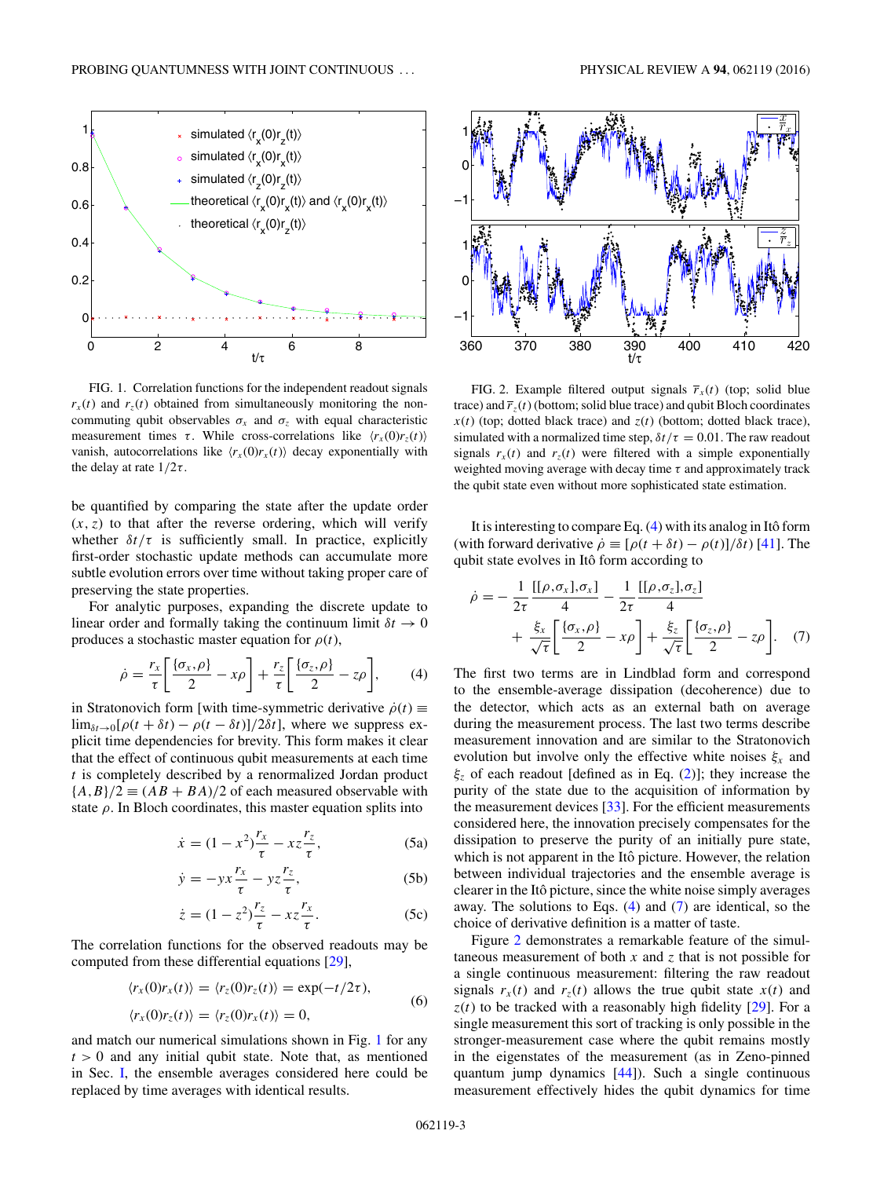<span id="page-2-0"></span>

FIG. 1. Correlation functions for the independent readout signals  $r<sub>x</sub>(t)$  and  $r<sub>z</sub>(t)$  obtained from simultaneously monitoring the noncommuting qubit observables  $\sigma_x$  and  $\sigma_z$  with equal characteristic measurement times  $\tau$ . While cross-correlations like  $\langle r_x(0)r_z(t) \rangle$ vanish, autocorrelations like  $\langle r_x(0)r_x(t) \rangle$  decay exponentially with the delay at rate 1*/*2*τ* .

be quantified by comparing the state after the update order  $(x, z)$  to that after the reverse ordering, which will verify whether  $\delta t/\tau$  is sufficiently small. In practice, explicitly first-order stochastic update methods can accumulate more subtle evolution errors over time without taking proper care of preserving the state properties.

For analytic purposes, expanding the discrete update to linear order and formally taking the continuum limit  $\delta t \rightarrow 0$ produces a stochastic master equation for  $\rho(t)$ ,

$$
\dot{\rho} = \frac{r_x}{\tau} \left[ \frac{\{\sigma_x, \rho\}}{2} - x\rho \right] + \frac{r_z}{\tau} \left[ \frac{\{\sigma_z, \rho\}}{2} - z\rho \right],\tag{4}
$$

in Stratonovich form [with time-symmetric derivative  $\dot{\rho}(t) \equiv$  $\lim_{\delta t \to 0} [\rho(t + \delta t) - \rho(t - \delta t)]/2\delta t$ , where we suppress explicit time dependencies for brevity. This form makes it clear that the effect of continuous qubit measurements at each time *t* is completely described by a renormalized Jordan product  ${A, B}/2 \equiv (AB + BA)/2$  of each measured observable with state  $\rho$ . In Bloch coordinates, this master equation splits into

$$
\dot{x} = (1 - x^2) \frac{r_x}{\tau} - x z \frac{r_z}{\tau},\tag{5a}
$$

$$
\dot{y} = -yx\frac{r_x}{\tau} - yz\frac{r_z}{\tau},\tag{5b}
$$

$$
\dot{z} = (1 - z^2) \frac{r_z}{\tau} - x z \frac{r_x}{\tau}.
$$
 (5c)

The correlation functions for the observed readouts may be computed from these differential equations [\[29\]](#page-7-0),

$$
\langle r_x(0)r_x(t) \rangle = \langle r_z(0)r_z(t) \rangle = \exp(-t/2\tau), \langle r_x(0)r_z(t) \rangle = \langle r_z(0)r_x(t) \rangle = 0,
$$
\n(6)

and match our numerical simulations shown in Fig. 1 for any  $t > 0$  and any initial qubit state. Note that, as mentioned in Sec. [I,](#page-0-0) the ensemble averages considered here could be replaced by time averages with identical results.



FIG. 2. Example filtered output signals  $\overline{r}_x(t)$  (top; solid blue trace) and  $\overline{r}_z(t)$  (bottom; solid blue trace) and qubit Bloch coordinates  $x(t)$  (top; dotted black trace) and  $z(t)$  (bottom; dotted black trace), simulated with a normalized time step,  $\delta t/\tau = 0.01$ . The raw readout signals  $r_x(t)$  and  $r_z(t)$  were filtered with a simple exponentially weighted moving average with decay time *τ* and approximately track the qubit state even without more sophisticated state estimation.

It is interesting to compare Eq.  $(4)$  with its analog in Itô form (with forward derivative  $\dot{\rho} \equiv [\rho(t + \delta t) - \rho(t)]/\delta t$ ) [\[41\]](#page-8-0). The qubit state evolves in Itô form according to

$$
\dot{\rho} = -\frac{1}{2\tau} \frac{[[\rho, \sigma_x], \sigma_x]}{4} - \frac{1}{2\tau} \frac{[[\rho, \sigma_z], \sigma_z]}{4} + \frac{\xi_x}{\sqrt{\tau}} \left[ \frac{\{\sigma_x, \rho\}}{2} - x\rho \right] + \frac{\xi_z}{\sqrt{\tau}} \left[ \frac{\{\sigma_z, \rho\}}{2} - z\rho \right].
$$
 (7)

The first two terms are in Lindblad form and correspond to the ensemble-average dissipation (decoherence) due to the detector, which acts as an external bath on average during the measurement process. The last two terms describe measurement innovation and are similar to the Stratonovich evolution but involve only the effective white noises  $\xi_x$  and *ξz* of each readout [defined as in Eq. [\(2\)](#page-1-0)]; they increase the purity of the state due to the acquisition of information by the measurement devices [\[33\]](#page-7-0). For the efficient measurements considered here, the innovation precisely compensates for the dissipation to preserve the purity of an initially pure state, which is not apparent in the Itô picture. However, the relation between individual trajectories and the ensemble average is clearer in the Itô picture, since the white noise simply averages away. The solutions to Eqs. (4) and (7) are identical, so the choice of derivative definition is a matter of taste.

Figure 2 demonstrates a remarkable feature of the simultaneous measurement of both *x* and *z* that is not possible for a single continuous measurement: filtering the raw readout signals  $r_x(t)$  and  $r_z(t)$  allows the true qubit state  $x(t)$  and  $z(t)$  to be tracked with a reasonably high fidelity  $[29]$ . For a single measurement this sort of tracking is only possible in the stronger-measurement case where the qubit remains mostly in the eigenstates of the measurement (as in Zeno-pinned quantum jump dynamics [\[44\]](#page-8-0)). Such a single continuous measurement effectively hides the qubit dynamics for time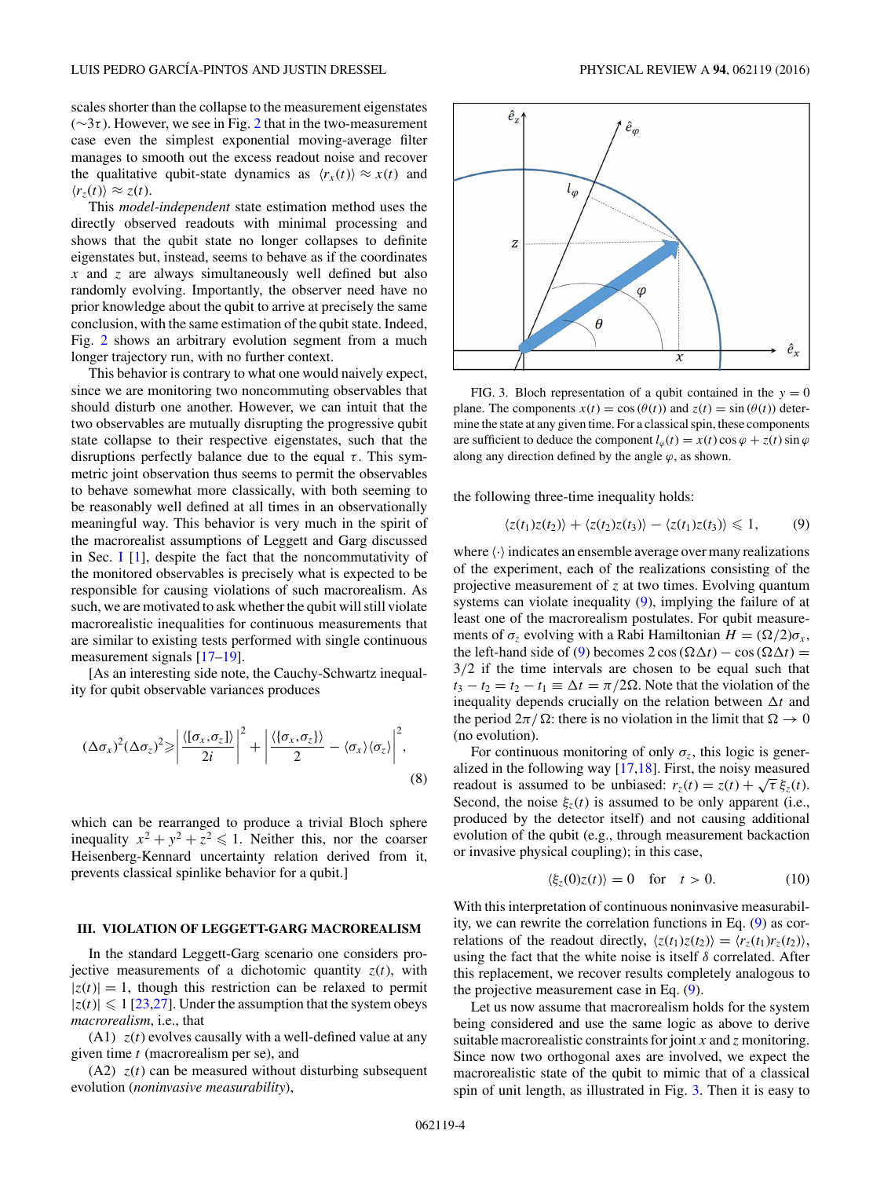<span id="page-3-0"></span>scales shorter than the collapse to the measurement eigenstates (∼3*τ* ). However, we see in Fig. [2](#page-2-0) that in the two-measurement case even the simplest exponential moving-average filter manages to smooth out the excess readout noise and recover the qualitative qubit-state dynamics as  $\langle r_x(t) \rangle \approx x(t)$  and  $\langle r_z(t) \rangle \approx z(t)$ .

This *model-independent* state estimation method uses the directly observed readouts with minimal processing and shows that the qubit state no longer collapses to definite eigenstates but, instead, seems to behave as if the coordinates *x* and *z* are always simultaneously well defined but also randomly evolving. Importantly, the observer need have no prior knowledge about the qubit to arrive at precisely the same conclusion, with the same estimation of the qubit state. Indeed, Fig. [2](#page-2-0) shows an arbitrary evolution segment from a much longer trajectory run, with no further context.

This behavior is contrary to what one would naively expect, since we are monitoring two noncommuting observables that should disturb one another. However, we can intuit that the two observables are mutually disrupting the progressive qubit state collapse to their respective eigenstates, such that the disruptions perfectly balance due to the equal  $\tau$ . This symmetric joint observation thus seems to permit the observables to behave somewhat more classically, with both seeming to be reasonably well defined at all times in an observationally meaningful way. This behavior is very much in the spirit of the macrorealist assumptions of Leggett and Garg discussed in Sec. [I](#page-0-0) [\[1\]](#page-6-0), despite the fact that the noncommutativity of the monitored observables is precisely what is expected to be responsible for causing violations of such macrorealism. As such, we are motivated to ask whether the qubit will still violate macrorealistic inequalities for continuous measurements that are similar to existing tests performed with single continuous measurement signals [\[17–19\]](#page-7-0).

[As an interesting side note, the Cauchy-Schwartz inequality for qubit observable variances produces

$$
(\Delta \sigma_x)^2 (\Delta \sigma_z)^2 \geq \left| \frac{\langle [\sigma_x, \sigma_z] \rangle}{2i} \right|^2 + \left| \frac{\langle [\sigma_x, \sigma_z] \rangle}{2} - \langle \sigma_x \rangle \langle \sigma_z \rangle \right|^2, \tag{8}
$$

which can be rearranged to produce a trivial Bloch sphere inequality  $x^2 + y^2 + z^2 \le 1$ . Neither this, nor the coarser Heisenberg-Kennard uncertainty relation derived from it, prevents classical spinlike behavior for a qubit.]

#### **III. VIOLATION OF LEGGETT-GARG MACROREALISM**

In the standard Leggett-Garg scenario one considers projective measurements of a dichotomic quantity  $z(t)$ , with  $|z(t)| = 1$ , though this restriction can be relaxed to permit  $|z(t)| \leq 1$  [\[23,27\]](#page-7-0). Under the assumption that the system obeys *macrorealism*, i.e., that

(A1)  $z(t)$  evolves causally with a well-defined value at any given time *t* (macrorealism per se), and

 $(A2)$  *z*(*t*) can be measured without disturbing subsequent evolution (*noninvasive measurability*),



FIG. 3. Bloch representation of a qubit contained in the  $y = 0$ plane. The components  $x(t) = \cos(\theta(t))$  and  $z(t) = \sin(\theta(t))$  determine the state at any given time. For a classical spin, these components are sufficient to deduce the component  $l_\varphi(t) = x(t) \cos \varphi + z(t) \sin \varphi$ along any direction defined by the angle  $\varphi$ , as shown.

the following three-time inequality holds:

$$
\langle z(t_1)z(t_2)\rangle + \langle z(t_2)z(t_3)\rangle - \langle z(t_1)z(t_3)\rangle \leq 1, \qquad (9)
$$

where  $\langle \cdot \rangle$  indicates an ensemble average over many realizations of the experiment, each of the realizations consisting of the projective measurement of *z* at two times. Evolving quantum systems can violate inequality (9), implying the failure of at least one of the macrorealism postulates. For qubit measurements of  $\sigma$ <sub>z</sub> evolving with a Rabi Hamiltonian  $H = (\Omega/2)\sigma_x$ , the left-hand side of (9) becomes  $2 \cos(\Omega \Delta t) - \cos(\Omega \Delta t) =$ 3*/*2 if the time intervals are chosen to be equal such that  $t_3 - t_2 = t_2 - t_1 \equiv \Delta t = \pi/2\Omega$ . Note that the violation of the inequality depends crucially on the relation between  $\Delta t$  and the period  $2\pi/\Omega$ : there is no violation in the limit that  $\Omega \to 0$ (no evolution).

For continuous monitoring of only  $\sigma_z$ , this logic is generalized in the following way  $[17,18]$ . First, the noisy measured readout is assumed to be unbiased:  $r_z(t) = z(t) + \sqrt{\tau} \xi_z(t)$ . Second, the noise  $\xi_z(t)$  is assumed to be only apparent (i.e., produced by the detector itself) and not causing additional evolution of the qubit (e.g., through measurement backaction or invasive physical coupling); in this case,

$$
\langle \xi_z(0)z(t) \rangle = 0 \quad \text{for} \quad t > 0. \tag{10}
$$

With this interpretation of continuous noninvasive measurability, we can rewrite the correlation functions in Eq. (9) as correlations of the readout directly,  $\langle z(t_1)z(t_2) \rangle = \langle r_z(t_1)r_z(t_2) \rangle$ , using the fact that the white noise is itself *δ* correlated. After this replacement, we recover results completely analogous to the projective measurement case in Eq. (9).

Let us now assume that macrorealism holds for the system being considered and use the same logic as above to derive suitable macrorealistic constraints for joint *x* and *z* monitoring. Since now two orthogonal axes are involved, we expect the macrorealistic state of the qubit to mimic that of a classical spin of unit length, as illustrated in Fig. 3. Then it is easy to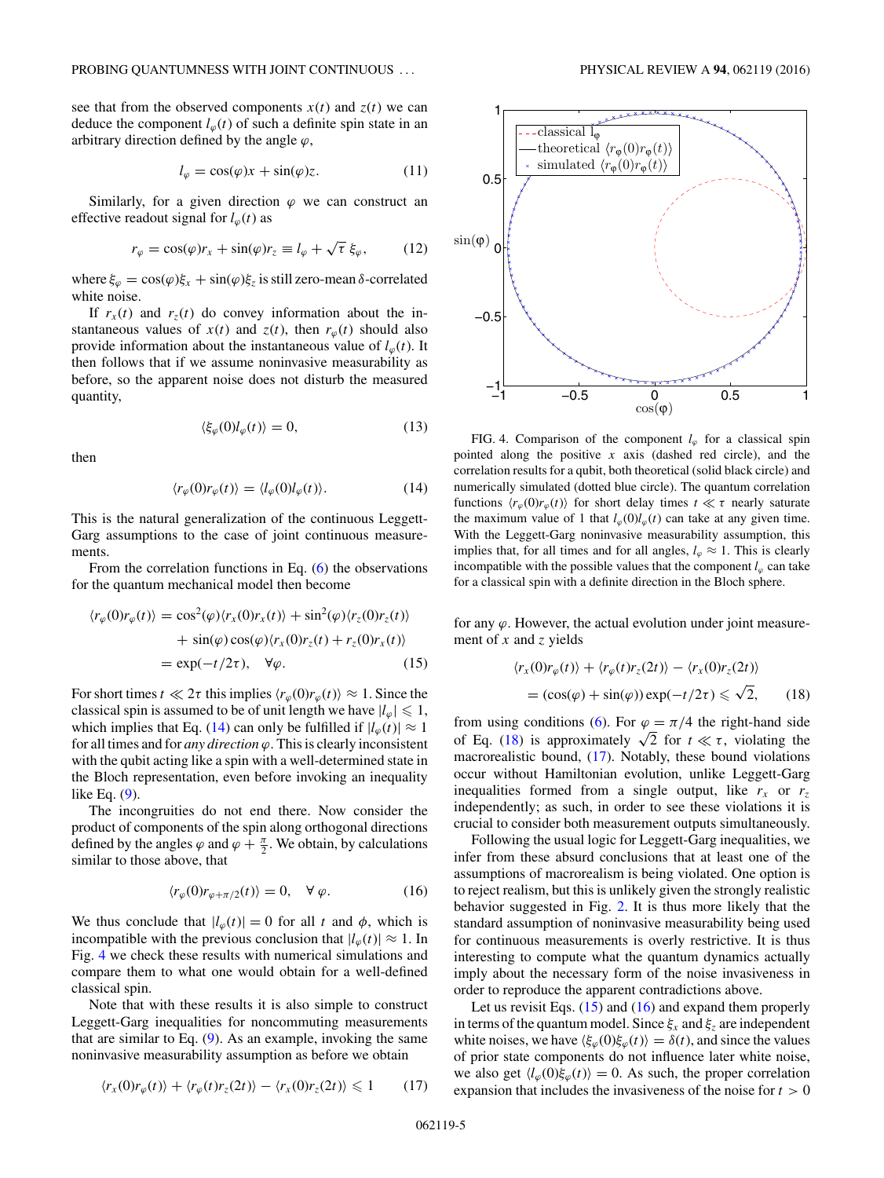<span id="page-4-0"></span>see that from the observed components  $x(t)$  and  $z(t)$  we can deduce the component  $l_\varphi(t)$  of such a definite spin state in an arbitrary direction defined by the angle  $\varphi$ ,

$$
l_{\varphi} = \cos(\varphi)x + \sin(\varphi)z.
$$
 (11)

Similarly, for a given direction  $\varphi$  we can construct an effective readout signal for  $l_\varphi(t)$  as

$$
r_{\varphi} = \cos(\varphi)r_x + \sin(\varphi)r_z \equiv l_{\varphi} + \sqrt{\tau} \xi_{\varphi}, \qquad (12)
$$

where  $ξ<sub>φ</sub> = cos(φ)ξ<sub>x</sub> + sin(φ)ξ<sub>z</sub>$  is still zero-mean *δ*-correlated white noise.

If  $r<sub>x</sub>(t)$  and  $r<sub>z</sub>(t)$  do convey information about the instantaneous values of  $x(t)$  and  $z(t)$ , then  $r_\varphi(t)$  should also provide information about the instantaneous value of  $l_\varphi(t)$ . It then follows that if we assume noninvasive measurability as before, so the apparent noise does not disturb the measured quantity,

$$
\langle \xi_{\varphi}(0) l_{\varphi}(t) \rangle = 0, \tag{13}
$$

then

$$
\langle r_{\varphi}(0)r_{\varphi}(t)\rangle = \langle l_{\varphi}(0)l_{\varphi}(t)\rangle.
$$
 (14)

This is the natural generalization of the continuous Leggett-Garg assumptions to the case of joint continuous measurements.

From the correlation functions in Eq. [\(6\)](#page-2-0) the observations for the quantum mechanical model then become

$$
\langle r_{\varphi}(0)r_{\varphi}(t)\rangle = \cos^{2}(\varphi)\langle r_{x}(0)r_{x}(t)\rangle + \sin^{2}(\varphi)\langle r_{z}(0)r_{z}(t)\rangle
$$
  
+ 
$$
\sin(\varphi)\cos(\varphi)\langle r_{x}(0)r_{z}(t) + r_{z}(0)r_{x}(t)\rangle
$$
  
= 
$$
\exp(-t/2\tau), \quad \forall \varphi.
$$
 (15)

For short times  $t \ll 2\tau$  this implies  $\langle r_{\varphi}(0)r_{\varphi}(t) \rangle \approx 1$ . Since the classical spin is assumed to be of unit length we have  $|l_{\varphi}| \leq 1$ , which implies that Eq. (14) can only be fulfilled if  $|l_\varphi(t)| \approx 1$ for all times and for *any direction*  $\varphi$ . This is clearly inconsistent with the qubit acting like a spin with a well-determined state in the Bloch representation, even before invoking an inequality like Eq. [\(9\)](#page-3-0).

The incongruities do not end there. Now consider the product of components of the spin along orthogonal directions defined by the angles  $\varphi$  and  $\varphi + \frac{\pi}{2}$ . We obtain, by calculations similar to those above, that

$$
\langle r_{\varphi}(0)r_{\varphi+\pi/2}(t)\rangle = 0, \quad \forall \varphi.
$$
 (16)

We thus conclude that  $|l_{\varphi}(t)| = 0$  for all *t* and  $\phi$ , which is incompatible with the previous conclusion that  $|l_\varphi(t)| \approx 1$ . In Fig. 4 we check these results with numerical simulations and compare them to what one would obtain for a well-defined classical spin.

Note that with these results it is also simple to construct Leggett-Garg inequalities for noncommuting measurements that are similar to Eq.  $(9)$ . As an example, invoking the same noninvasive measurability assumption as before we obtain

$$
\langle r_x(0)r_{\varphi}(t)\rangle + \langle r_{\varphi}(t)r_z(2t)\rangle - \langle r_x(0)r_z(2t)\rangle \leq 1 \qquad (17)
$$



FIG. 4. Comparison of the component  $l_{\varphi}$  for a classical spin pointed along the positive *x* axis (dashed red circle), and the correlation results for a qubit, both theoretical (solid black circle) and numerically simulated (dotted blue circle). The quantum correlation functions  $\langle r_{\varphi}(0)r_{\varphi}(t) \rangle$  for short delay times  $t \ll \tau$  nearly saturate the maximum value of 1 that  $l_{\varphi}(0)l_{\varphi}(t)$  can take at any given time. With the Leggett-Garg noninvasive measurability assumption, this implies that, for all times and for all angles,  $l_{\varphi} \approx 1$ . This is clearly incompatible with the possible values that the component  $l_\varphi$  can take for a classical spin with a definite direction in the Bloch sphere.

for any  $\varphi$ . However, the actual evolution under joint measurement of *x* and *z* yields

$$
\langle r_x(0)r_{\varphi}(t)\rangle + \langle r_{\varphi}(t)r_z(2t)\rangle - \langle r_x(0)r_z(2t)\rangle
$$
  
=  $(\cos(\varphi) + \sin(\varphi))\exp(-t/2\tau) \le \sqrt{2},$  (18)

from using conditions [\(6\)](#page-2-0). For  $\varphi = \pi/4$  the right-hand side of Eq. (18) is approximately  $\sqrt{2}$  for  $t \ll \tau$ , violating the macrorealistic bound, (17). Notably, these bound violations occur without Hamiltonian evolution, unlike Leggett-Garg inequalities formed from a single output, like  $r_x$  or  $r_z$ independently; as such, in order to see these violations it is crucial to consider both measurement outputs simultaneously.

Following the usual logic for Leggett-Garg inequalities, we infer from these absurd conclusions that at least one of the assumptions of macrorealism is being violated. One option is to reject realism, but this is unlikely given the strongly realistic behavior suggested in Fig. [2.](#page-2-0) It is thus more likely that the standard assumption of noninvasive measurability being used for continuous measurements is overly restrictive. It is thus interesting to compute what the quantum dynamics actually imply about the necessary form of the noise invasiveness in order to reproduce the apparent contradictions above.

Let us revisit Eqs.  $(15)$  and  $(16)$  and expand them properly in terms of the quantum model. Since  $\xi_x$  and  $\xi_z$  are independent white noises, we have  $\langle \xi_{\varphi}(0) \xi_{\varphi}(t) \rangle = \delta(t)$ , and since the values of prior state components do not influence later white noise, we also get  $\langle l_{\varphi}(0)\xi_{\varphi}(t)\rangle = 0$ . As such, the proper correlation expansion that includes the invasiveness of the noise for *t >* 0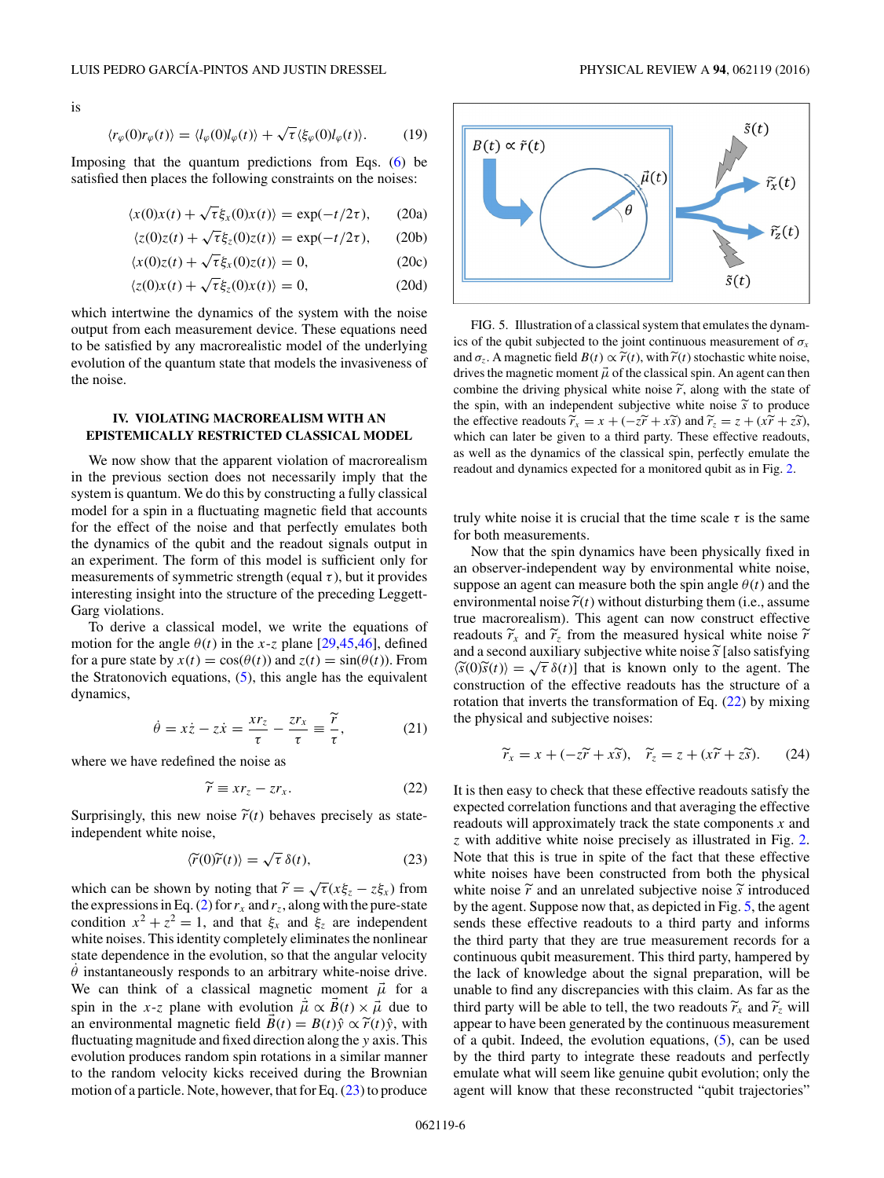<span id="page-5-0"></span>is

$$
\langle r_{\varphi}(0)r_{\varphi}(t)\rangle = \langle l_{\varphi}(0)l_{\varphi}(t)\rangle + \sqrt{\tau} \langle \xi_{\varphi}(0)l_{\varphi}(t)\rangle.
$$
 (19)

Imposing that the quantum predictions from Eqs. [\(6\)](#page-2-0) be satisfied then places the following constraints on the noises:

$$
\langle x(0)x(t) + \sqrt{\tau} \xi_x(0)x(t) \rangle = \exp(-t/2\tau), \qquad (20a)
$$

$$
\langle z(0)z(t) + \sqrt{\tau} \xi_z(0)z(t) \rangle = \exp(-t/2\tau), \qquad (20b)
$$

$$
\langle x(0)z(t) + \sqrt{\tau} \xi_x(0)z(t) \rangle = 0, \qquad (20c)
$$

$$
\langle z(0)x(t) + \sqrt{\tau} \xi_z(0)x(t) \rangle = 0, \tag{20d}
$$

which intertwine the dynamics of the system with the noise output from each measurement device. These equations need to be satisfied by any macrorealistic model of the underlying evolution of the quantum state that models the invasiveness of the noise.

### **IV. VIOLATING MACROREALISM WITH AN EPISTEMICALLY RESTRICTED CLASSICAL MODEL**

We now show that the apparent violation of macrorealism in the previous section does not necessarily imply that the system is quantum. We do this by constructing a fully classical model for a spin in a fluctuating magnetic field that accounts for the effect of the noise and that perfectly emulates both the dynamics of the qubit and the readout signals output in an experiment. The form of this model is sufficient only for measurements of symmetric strength (equal  $\tau$ ), but it provides interesting insight into the structure of the preceding Leggett-Garg violations.

To derive a classical model, we write the equations of motion for the angle  $\theta(t)$  in the *x*-*z* plane [\[29,](#page-7-0)[45,46\]](#page-8-0), defined for a pure state by  $x(t) = \cos(\theta(t))$  and  $z(t) = \sin(\theta(t))$ . From the Stratonovich equations, [\(5\)](#page-2-0), this angle has the equivalent dynamics,

$$
\dot{\theta} = x\dot{z} - z\dot{x} = \frac{xr_z}{\tau} - \frac{zr_x}{\tau} \equiv \frac{\tilde{r}}{\tau},\tag{21}
$$

where we have redefined the noise as

$$
\widetilde{r} \equiv xr_z - zr_x. \tag{22}
$$

Surprisingly, this new noise  $\tilde{r}(t)$  behaves precisely as stateindependent white noise,

$$
\langle \widetilde{r}(0)\widetilde{r}(t)\rangle = \sqrt{\tau} \,\delta(t),\tag{23}
$$

which can be shown by noting that  $\widetilde{r} = \sqrt{\tau} (x \xi_z - z \xi_x)$  from the expressions in Eq. [\(2\)](#page-1-0) for  $r_x$  and  $r_z$ , along with the pure-state condition  $x^2 + z^2 = 1$ , and that  $\xi_x$  and  $\xi_z$  are independent white noises. This identity completely eliminates the nonlinear state dependence in the evolution, so that the angular velocity *θ*˙ instantaneously responds to an arbitrary white-noise drive. We can think of a classical magnetic moment  $\vec{\mu}$  for a spin in the *x*-*z* plane with evolution  $\vec{\mu} \propto \vec{B}(t) \times \vec{\mu}$  due to an environmental magnetic field  $B(t) = B(t)\hat{y} \propto \tilde{r}(t)\hat{y}$ , with fluctuating magnitude and fixed direction along the *y* axis. This evolution produces random spin rotations in a similar manner to the random velocity kicks received during the Brownian motion of a particle. Note, however, that for Eq. (23) to produce



FIG. 5. Illustration of a classical system that emulates the dynamics of the qubit subjected to the joint continuous measurement of  $\sigma_x$ and  $\sigma_z$ . A magnetic field  $B(t) \propto \tilde{r}(t)$ , with  $\tilde{r}(t)$  stochastic white noise, drives the magnetic moment  $\vec{\mu}$  of the classical spin. An agent can then combine the driving physical white noise  $\tilde{r}$ , along with the state of the spin, with an independent subjective white noise  $\tilde{s}$  to produce the effective readouts  $\widetilde{r}_x = x + (-z\widetilde{r} + x\widetilde{s})$  and  $\widetilde{r}_z = z + (x\widetilde{r} + z\widetilde{s})$ , which can later be given to a third party. These effective readouts, as well as the dynamics of the classical spin, perfectly emulate the readout and dynamics expected for a monitored qubit as in Fig. [2.](#page-2-0)

truly white noise it is crucial that the time scale  $\tau$  is the same for both measurements.

Now that the spin dynamics have been physically fixed in an observer-independent way by environmental white noise, suppose an agent can measure both the spin angle  $\theta(t)$  and the environmental noise  $\tilde{r}(t)$  without disturbing them (i.e., assume true macrorealism). This agent can now construct effective readouts  $\widetilde{r}_x$  and  $\widetilde{r}_z$  from the measured hysical white noise  $\widetilde{r}$ and a second auxiliary subjective white noise  $\tilde{s}$  [also satisfying  $\langle \widetilde{s}(0)\widetilde{s}(t) \rangle = \sqrt{\tau} \delta(t)$  that is known only to the agent. The construction of the effective readouts has the structure of a rotation that inverts the transformation of Eq.  $(22)$  by mixing the physical and subjective noises:

$$
\widetilde{r}_x = x + (-z\widetilde{r} + x\widetilde{s}), \quad \widetilde{r}_z = z + (x\widetilde{r} + z\widetilde{s}). \tag{24}
$$

It is then easy to check that these effective readouts satisfy the expected correlation functions and that averaging the effective readouts will approximately track the state components *x* and *z* with additive white noise precisely as illustrated in Fig. [2.](#page-2-0) Note that this is true in spite of the fact that these effective white noises have been constructed from both the physical white noise  $\tilde{r}$  and an unrelated subjective noise  $\tilde{s}$  introduced by the agent. Suppose now that, as depicted in Fig. 5, the agent sends these effective readouts to a third party and informs the third party that they are true measurement records for a continuous qubit measurement. This third party, hampered by the lack of knowledge about the signal preparation, will be unable to find any discrepancies with this claim. As far as the third party will be able to tell, the two readouts  $\widetilde{r}_x$  and  $\widetilde{r}_z$  will appear to have been generated by the continuous measurement of a qubit. Indeed, the evolution equations, [\(5\)](#page-2-0), can be used by the third party to integrate these readouts and perfectly emulate what will seem like genuine qubit evolution; only the agent will know that these reconstructed "qubit trajectories"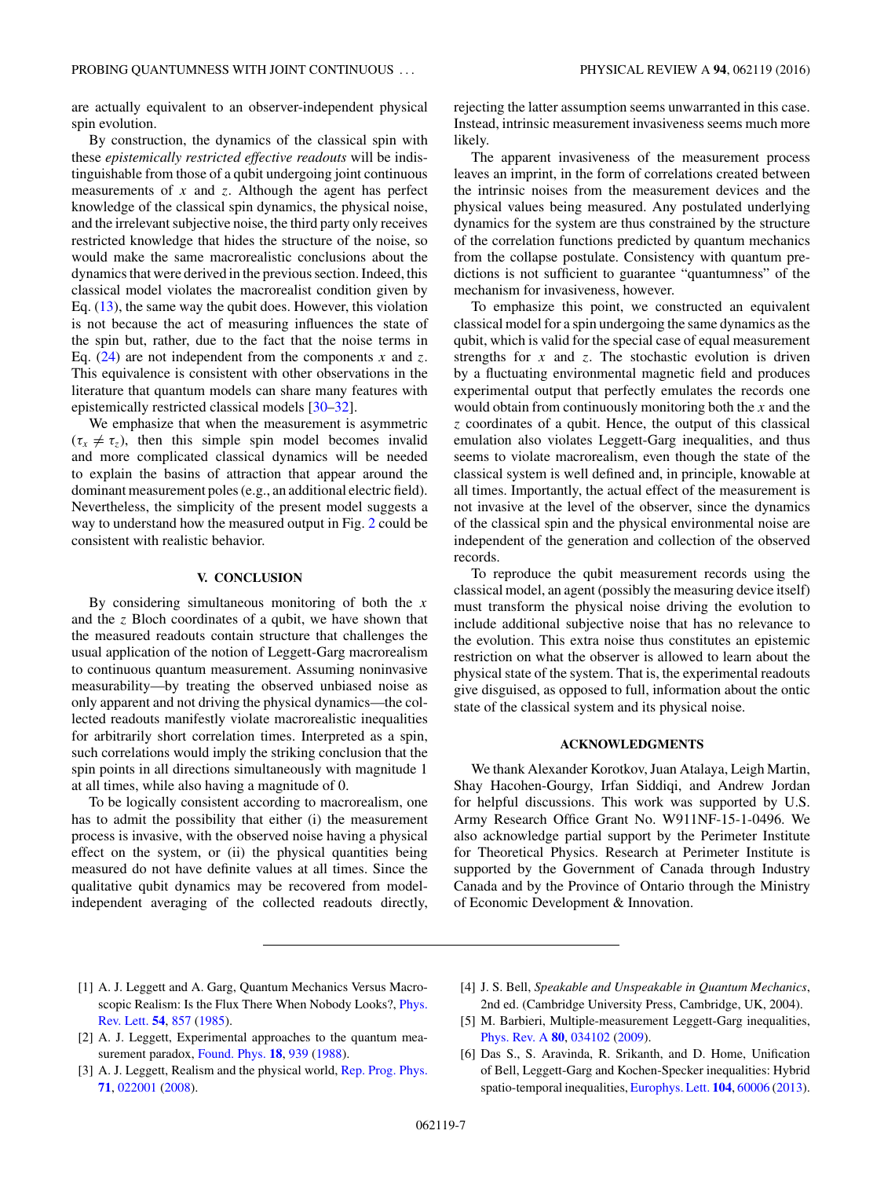<span id="page-6-0"></span>are actually equivalent to an observer-independent physical spin evolution.

By construction, the dynamics of the classical spin with these *epistemically restricted effective readouts* will be indistinguishable from those of a qubit undergoing joint continuous measurements of *x* and *z*. Although the agent has perfect knowledge of the classical spin dynamics, the physical noise, and the irrelevant subjective noise, the third party only receives restricted knowledge that hides the structure of the noise, so would make the same macrorealistic conclusions about the dynamics that were derived in the previous section. Indeed, this classical model violates the macrorealist condition given by Eq.  $(13)$ , the same way the qubit does. However, this violation is not because the act of measuring influences the state of the spin but, rather, due to the fact that the noise terms in Eq.  $(24)$  are not independent from the components *x* and *z*. This equivalence is consistent with other observations in the literature that quantum models can share many features with epistemically restricted classical models [\[30–32\]](#page-7-0).

We emphasize that when the measurement is asymmetric  $(\tau_x \neq \tau_z)$ , then this simple spin model becomes invalid and more complicated classical dynamics will be needed to explain the basins of attraction that appear around the dominant measurement poles (e.g., an additional electric field). Nevertheless, the simplicity of the present model suggests a way to understand how the measured output in Fig. [2](#page-2-0) could be consistent with realistic behavior.

#### **V. CONCLUSION**

By considering simultaneous monitoring of both the *x* and the *z* Bloch coordinates of a qubit, we have shown that the measured readouts contain structure that challenges the usual application of the notion of Leggett-Garg macrorealism to continuous quantum measurement. Assuming noninvasive measurability—by treating the observed unbiased noise as only apparent and not driving the physical dynamics—the collected readouts manifestly violate macrorealistic inequalities for arbitrarily short correlation times. Interpreted as a spin, such correlations would imply the striking conclusion that the spin points in all directions simultaneously with magnitude 1 at all times, while also having a magnitude of 0.

To be logically consistent according to macrorealism, one has to admit the possibility that either (i) the measurement process is invasive, with the observed noise having a physical effect on the system, or (ii) the physical quantities being measured do not have definite values at all times. Since the qualitative qubit dynamics may be recovered from modelindependent averaging of the collected readouts directly,

rejecting the latter assumption seems unwarranted in this case. Instead, intrinsic measurement invasiveness seems much more likely.

The apparent invasiveness of the measurement process leaves an imprint, in the form of correlations created between the intrinsic noises from the measurement devices and the physical values being measured. Any postulated underlying dynamics for the system are thus constrained by the structure of the correlation functions predicted by quantum mechanics from the collapse postulate. Consistency with quantum predictions is not sufficient to guarantee "quantumness" of the mechanism for invasiveness, however.

To emphasize this point, we constructed an equivalent classical model for a spin undergoing the same dynamics as the qubit, which is valid for the special case of equal measurement strengths for *x* and *z*. The stochastic evolution is driven by a fluctuating environmental magnetic field and produces experimental output that perfectly emulates the records one would obtain from continuously monitoring both the *x* and the *z* coordinates of a qubit. Hence, the output of this classical emulation also violates Leggett-Garg inequalities, and thus seems to violate macrorealism, even though the state of the classical system is well defined and, in principle, knowable at all times. Importantly, the actual effect of the measurement is not invasive at the level of the observer, since the dynamics of the classical spin and the physical environmental noise are independent of the generation and collection of the observed records.

To reproduce the qubit measurement records using the classical model, an agent (possibly the measuring device itself) must transform the physical noise driving the evolution to include additional subjective noise that has no relevance to the evolution. This extra noise thus constitutes an epistemic restriction on what the observer is allowed to learn about the physical state of the system. That is, the experimental readouts give disguised, as opposed to full, information about the ontic state of the classical system and its physical noise.

# **ACKNOWLEDGMENTS**

We thank Alexander Korotkov, Juan Atalaya, Leigh Martin, Shay Hacohen-Gourgy, Irfan Siddiqi, and Andrew Jordan for helpful discussions. This work was supported by U.S. Army Research Office Grant No. W911NF-15-1-0496. We also acknowledge partial support by the Perimeter Institute for Theoretical Physics. Research at Perimeter Institute is supported by the Government of Canada through Industry Canada and by the Province of Ontario through the Ministry of Economic Development & Innovation.

- [1] A. J. Leggett and A. Garg, Quantum Mechanics Versus Macro[scopic Realism: Is the Flux There When Nobody Looks?,](https://doi.org/10.1103/PhysRevLett.54.857) Phys. Rev. Lett. **[54](https://doi.org/10.1103/PhysRevLett.54.857)**, [857](https://doi.org/10.1103/PhysRevLett.54.857) [\(1985\)](https://doi.org/10.1103/PhysRevLett.54.857).
- [2] A. J. Leggett, Experimental approaches to the quantum measurement paradox, [Found. Phys.](https://doi.org/10.1007/BF01855943) **[18](https://doi.org/10.1007/BF01855943)**, [939](https://doi.org/10.1007/BF01855943) [\(1988\)](https://doi.org/10.1007/BF01855943).
- [3] A. J. Leggett, Realism and the physical world, [Rep. Prog. Phys.](https://doi.org/10.1088/0034-4885/71/2/022001) **[71](https://doi.org/10.1088/0034-4885/71/2/022001)**, [022001](https://doi.org/10.1088/0034-4885/71/2/022001) [\(2008\)](https://doi.org/10.1088/0034-4885/71/2/022001).
- [4] J. S. Bell, *Speakable and Unspeakable in Quantum Mechanics*, 2nd ed. (Cambridge University Press, Cambridge, UK, 2004).
- [5] M. Barbieri, Multiple-measurement Leggett-Garg inequalities, [Phys. Rev. A](https://doi.org/10.1103/PhysRevA.80.034102) **[80](https://doi.org/10.1103/PhysRevA.80.034102)**, [034102](https://doi.org/10.1103/PhysRevA.80.034102) [\(2009\)](https://doi.org/10.1103/PhysRevA.80.034102).
- [6] Das S., S. Aravinda, R. Srikanth, and D. Home, Unification of Bell, Leggett-Garg and Kochen-Specker inequalities: Hybrid spatio-temporal inequalities, [Europhys. Lett.](https://doi.org/10.1209/0295-5075/104/60006) **[104](https://doi.org/10.1209/0295-5075/104/60006)**, [60006](https://doi.org/10.1209/0295-5075/104/60006) [\(2013\)](https://doi.org/10.1209/0295-5075/104/60006).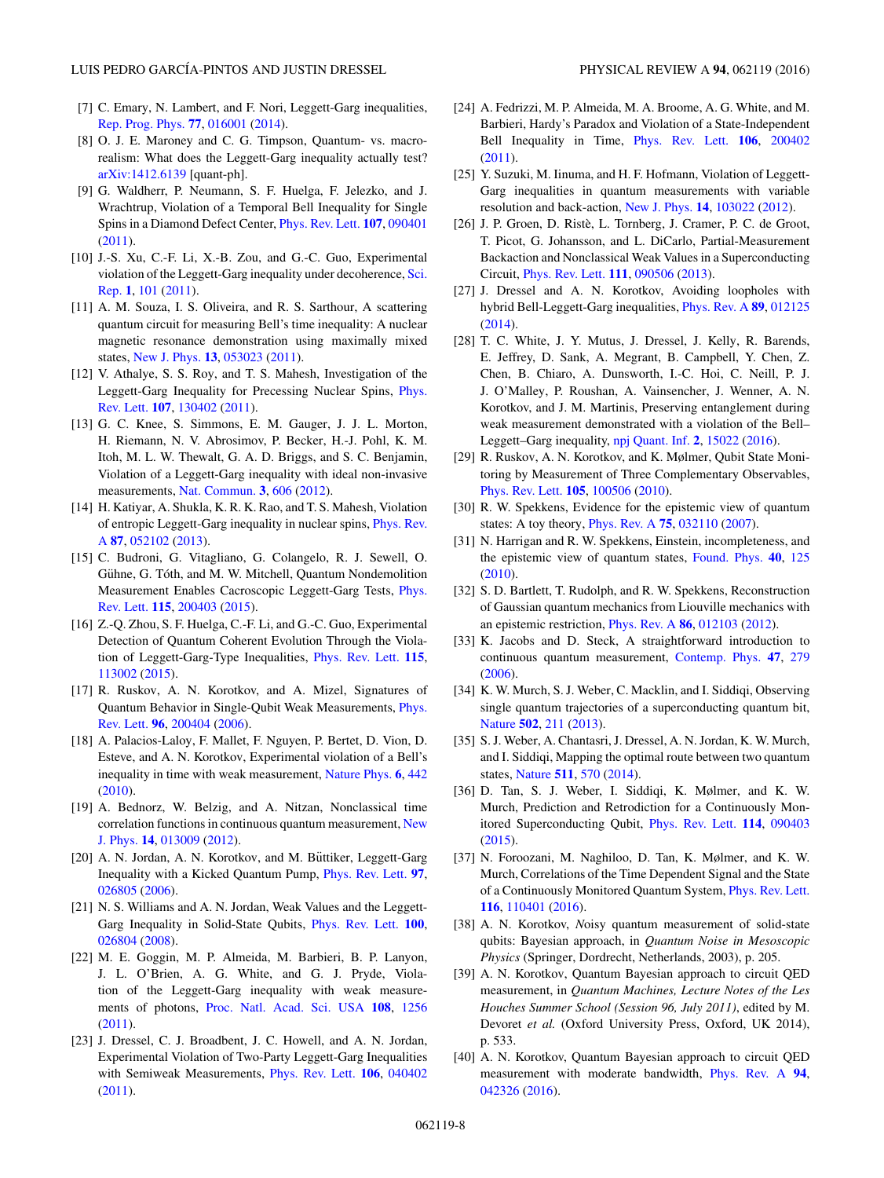- <span id="page-7-0"></span>[7] C. Emary, N. Lambert, and F. Nori, Leggett-Garg inequalities, [Rep. Prog. Phys.](https://doi.org/10.1088/0034-4885/77/1/016001) **[77](https://doi.org/10.1088/0034-4885/77/1/016001)**, [016001](https://doi.org/10.1088/0034-4885/77/1/016001) [\(2014\)](https://doi.org/10.1088/0034-4885/77/1/016001).
- [8] O. J. E. Maroney and C. G. Timpson, Quantum- vs. macrorealism: What does the Leggett-Garg inequality actually test? [arXiv:1412.6139](http://arxiv.org/abs/arXiv:1412.6139) [quant-ph].
- [9] G. Waldherr, P. Neumann, S. F. Huelga, F. Jelezko, and J. Wrachtrup, Violation of a Temporal Bell Inequality for Single Spins in a Diamond Defect Center, [Phys. Rev. Lett.](https://doi.org/10.1103/PhysRevLett.107.090401) **[107](https://doi.org/10.1103/PhysRevLett.107.090401)**, [090401](https://doi.org/10.1103/PhysRevLett.107.090401) [\(2011\)](https://doi.org/10.1103/PhysRevLett.107.090401).
- [10] J.-S. Xu, C.-F. Li, X.-B. Zou, and G.-C. Guo, Experimental [violation of the Leggett-Garg inequality under decoherence,](https://doi.org/10.1038/srep00101) Sci. Rep. **[1](https://doi.org/10.1038/srep00101)**, [101](https://doi.org/10.1038/srep00101) [\(2011\)](https://doi.org/10.1038/srep00101).
- [11] A. M. Souza, I. S. Oliveira, and R. S. Sarthour, A scattering quantum circuit for measuring Bell's time inequality: A nuclear magnetic resonance demonstration using maximally mixed states, [New J. Phys.](https://doi.org/10.1088/1367-2630/13/5/053023) **[13](https://doi.org/10.1088/1367-2630/13/5/053023)**, [053023](https://doi.org/10.1088/1367-2630/13/5/053023) [\(2011\)](https://doi.org/10.1088/1367-2630/13/5/053023).
- [12] V. Athalye, S. S. Roy, and T. S. Mahesh, Investigation of the [Leggett-Garg Inequality for Precessing Nuclear Spins,](https://doi.org/10.1103/PhysRevLett.107.130402) Phys. Rev. Lett. **[107](https://doi.org/10.1103/PhysRevLett.107.130402)**, [130402](https://doi.org/10.1103/PhysRevLett.107.130402) [\(2011\)](https://doi.org/10.1103/PhysRevLett.107.130402).
- [13] G. C. Knee, S. Simmons, E. M. Gauger, J. J. L. Morton, H. Riemann, N. V. Abrosimov, P. Becker, H.-J. Pohl, K. M. Itoh, M. L. W. Thewalt, G. A. D. Briggs, and S. C. Benjamin, Violation of a Leggett-Garg inequality with ideal non-invasive measurements, [Nat. Commun.](https://doi.org/10.1038/ncomms1614) **[3](https://doi.org/10.1038/ncomms1614)**, [606](https://doi.org/10.1038/ncomms1614) [\(2012\)](https://doi.org/10.1038/ncomms1614).
- [14] H. Katiyar, A. Shukla, K. R. K. Rao, and T. S. Mahesh, Violation [of entropic Leggett-Garg inequality in nuclear spins,](https://doi.org/10.1103/PhysRevA.87.052102) Phys. Rev. A **[87](https://doi.org/10.1103/PhysRevA.87.052102)**, [052102](https://doi.org/10.1103/PhysRevA.87.052102) [\(2013\)](https://doi.org/10.1103/PhysRevA.87.052102).
- [15] C. Budroni, G. Vitagliano, G. Colangelo, R. J. Sewell, O. Gühne, G. Tóth, and M. W. Mitchell, Quantum Nondemolition [Measurement Enables Cacroscopic Leggett-Garg Tests,](https://doi.org/10.1103/PhysRevLett.115.200403) Phys. Rev. Lett. **[115](https://doi.org/10.1103/PhysRevLett.115.200403)**, [200403](https://doi.org/10.1103/PhysRevLett.115.200403) [\(2015\)](https://doi.org/10.1103/PhysRevLett.115.200403).
- [16] Z.-Q. Zhou, S. F. Huelga, C.-F. Li, and G.-C. Guo, Experimental Detection of Quantum Coherent Evolution Through the Violation of Leggett-Garg-Type Inequalities, [Phys. Rev. Lett.](https://doi.org/10.1103/PhysRevLett.115.113002) **[115](https://doi.org/10.1103/PhysRevLett.115.113002)**, [113002](https://doi.org/10.1103/PhysRevLett.115.113002) [\(2015\)](https://doi.org/10.1103/PhysRevLett.115.113002).
- [17] R. Ruskov, A. N. Korotkov, and A. Mizel, Signatures of [Quantum Behavior in Single-Qubit Weak Measurements,](https://doi.org/10.1103/PhysRevLett.96.200404) Phys. Rev. Lett. **[96](https://doi.org/10.1103/PhysRevLett.96.200404)**, [200404](https://doi.org/10.1103/PhysRevLett.96.200404) [\(2006\)](https://doi.org/10.1103/PhysRevLett.96.200404).
- [18] A. Palacios-Laloy, F. Mallet, F. Nguyen, P. Bertet, D. Vion, D. Esteve, and A. N. Korotkov, Experimental violation of a Bell's inequality in time with weak measurement, [Nature Phys.](https://doi.org/10.1038/nphys1641) **[6](https://doi.org/10.1038/nphys1641)**, [442](https://doi.org/10.1038/nphys1641) [\(2010\)](https://doi.org/10.1038/nphys1641).
- [19] A. Bednorz, W. Belzig, and A. Nitzan, Nonclassical time [correlation functions in continuous quantum measurement,](https://doi.org/10.1088/1367-2630/14/1/013009) New J. Phys. **[14](https://doi.org/10.1088/1367-2630/14/1/013009)**, [013009](https://doi.org/10.1088/1367-2630/14/1/013009) [\(2012\)](https://doi.org/10.1088/1367-2630/14/1/013009).
- [20] A. N. Jordan, A. N. Korotkov, and M. Büttiker, Leggett-Garg Inequality with a Kicked Quantum Pump, [Phys. Rev. Lett.](https://doi.org/10.1103/PhysRevLett.97.026805) **[97](https://doi.org/10.1103/PhysRevLett.97.026805)**, [026805](https://doi.org/10.1103/PhysRevLett.97.026805) [\(2006\)](https://doi.org/10.1103/PhysRevLett.97.026805).
- [21] N. S. Williams and A. N. Jordan, Weak Values and the Leggett-Garg Inequality in Solid-State Qubits, [Phys. Rev. Lett.](https://doi.org/10.1103/PhysRevLett.100.026804) **[100](https://doi.org/10.1103/PhysRevLett.100.026804)**, [026804](https://doi.org/10.1103/PhysRevLett.100.026804) [\(2008\)](https://doi.org/10.1103/PhysRevLett.100.026804).
- [22] M. E. Goggin, M. P. Almeida, M. Barbieri, B. P. Lanyon, J. L. O'Brien, A. G. White, and G. J. Pryde, Violation of the Leggett-Garg inequality with weak measurements of photons, [Proc. Natl. Acad. Sci. USA](https://doi.org/10.1073/pnas.1005774108) **[108](https://doi.org/10.1073/pnas.1005774108)**, [1256](https://doi.org/10.1073/pnas.1005774108) [\(2011\)](https://doi.org/10.1073/pnas.1005774108).
- [23] J. Dressel, C. J. Broadbent, J. C. Howell, and A. N. Jordan, Experimental Violation of Two-Party Leggett-Garg Inequalities with Semiweak Measurements, [Phys. Rev. Lett.](https://doi.org/10.1103/PhysRevLett.106.040402) **[106](https://doi.org/10.1103/PhysRevLett.106.040402)**, [040402](https://doi.org/10.1103/PhysRevLett.106.040402) [\(2011\)](https://doi.org/10.1103/PhysRevLett.106.040402).
- [24] A. Fedrizzi, M. P. Almeida, M. A. Broome, A. G. White, and M. Barbieri, Hardy's Paradox and Violation of a State-Independent Bell Inequality in Time, [Phys. Rev. Lett.](https://doi.org/10.1103/PhysRevLett.106.200402) **[106](https://doi.org/10.1103/PhysRevLett.106.200402)**, [200402](https://doi.org/10.1103/PhysRevLett.106.200402) [\(2011\)](https://doi.org/10.1103/PhysRevLett.106.200402).
- [25] Y. Suzuki, M. Iinuma, and H. F. Hofmann, Violation of Leggett-Garg inequalities in quantum measurements with variable resolution and back-action, [New J. Phys.](https://doi.org/10.1088/1367-2630/14/10/103022) **[14](https://doi.org/10.1088/1367-2630/14/10/103022)**, [103022](https://doi.org/10.1088/1367-2630/14/10/103022) [\(2012\)](https://doi.org/10.1088/1367-2630/14/10/103022).
- [26] J. P. Groen, D. Ristè, L. Tornberg, J. Cramer, P. C. de Groot, T. Picot, G. Johansson, and L. DiCarlo, Partial-Measurement Backaction and Nonclassical Weak Values in a Superconducting Circuit, [Phys. Rev. Lett.](https://doi.org/10.1103/PhysRevLett.111.090506) **[111](https://doi.org/10.1103/PhysRevLett.111.090506)**, [090506](https://doi.org/10.1103/PhysRevLett.111.090506) [\(2013\)](https://doi.org/10.1103/PhysRevLett.111.090506).
- [27] J. Dressel and A. N. Korotkov, Avoiding loopholes with hybrid Bell-Leggett-Garg inequalities, [Phys. Rev. A](https://doi.org/10.1103/PhysRevA.89.012125) **[89](https://doi.org/10.1103/PhysRevA.89.012125)**, [012125](https://doi.org/10.1103/PhysRevA.89.012125) [\(2014\)](https://doi.org/10.1103/PhysRevA.89.012125).
- [28] T. C. White, J. Y. Mutus, J. Dressel, J. Kelly, R. Barends, E. Jeffrey, D. Sank, A. Megrant, B. Campbell, Y. Chen, Z. Chen, B. Chiaro, A. Dunsworth, I.-C. Hoi, C. Neill, P. J. J. O'Malley, P. Roushan, A. Vainsencher, J. Wenner, A. N. Korotkov, and J. M. Martinis, Preserving entanglement during weak measurement demonstrated with a violation of the Bell– Leggett–Garg inequality, [npj Quant. Inf.](https://doi.org/10.1038/npjqi.2015.22) **[2](https://doi.org/10.1038/npjqi.2015.22)**, [15022](https://doi.org/10.1038/npjqi.2015.22) [\(2016\)](https://doi.org/10.1038/npjqi.2015.22).
- [29] R. Ruskov, A. N. Korotkov, and K. Mølmer, Qubit State Monitoring by Measurement of Three Complementary Observables, [Phys. Rev. Lett.](https://doi.org/10.1103/PhysRevLett.105.100506) **[105](https://doi.org/10.1103/PhysRevLett.105.100506)**, [100506](https://doi.org/10.1103/PhysRevLett.105.100506) [\(2010\)](https://doi.org/10.1103/PhysRevLett.105.100506).
- [30] R. W. Spekkens, Evidence for the epistemic view of quantum states: A toy theory, [Phys. Rev. A](https://doi.org/10.1103/PhysRevA.75.032110) **[75](https://doi.org/10.1103/PhysRevA.75.032110)**, [032110](https://doi.org/10.1103/PhysRevA.75.032110) [\(2007\)](https://doi.org/10.1103/PhysRevA.75.032110).
- [31] N. Harrigan and R. W. Spekkens, Einstein, incompleteness, and the epistemic view of quantum states, [Found. Phys.](https://doi.org/10.1007/s10701-009-9347-0) **[40](https://doi.org/10.1007/s10701-009-9347-0)**, [125](https://doi.org/10.1007/s10701-009-9347-0) [\(2010\)](https://doi.org/10.1007/s10701-009-9347-0).
- [32] S. D. Bartlett, T. Rudolph, and R. W. Spekkens, Reconstruction of Gaussian quantum mechanics from Liouville mechanics with an epistemic restriction, [Phys. Rev. A](https://doi.org/10.1103/PhysRevA.86.012103) **[86](https://doi.org/10.1103/PhysRevA.86.012103)**, [012103](https://doi.org/10.1103/PhysRevA.86.012103) [\(2012\)](https://doi.org/10.1103/PhysRevA.86.012103).
- [33] K. Jacobs and D. Steck, A straightforward introduction to continuous quantum measurement, [Contemp. Phys.](https://doi.org/10.1080/00107510601101934) **[47](https://doi.org/10.1080/00107510601101934)**, [279](https://doi.org/10.1080/00107510601101934) [\(2006\)](https://doi.org/10.1080/00107510601101934).
- [34] K. W. Murch, S. J. Weber, C. Macklin, and I. Siddiqi, Observing single quantum trajectories of a superconducting quantum bit, [Nature](https://doi.org/10.1038/nature12539) **[502](https://doi.org/10.1038/nature12539)**, [211](https://doi.org/10.1038/nature12539) [\(2013\)](https://doi.org/10.1038/nature12539).
- [35] S. J. Weber, A. Chantasri, J. Dressel, A. N. Jordan, K. W. Murch, and I. Siddiqi, Mapping the optimal route between two quantum states, [Nature](https://doi.org/10.1038/nature13559) **[511](https://doi.org/10.1038/nature13559)**, [570](https://doi.org/10.1038/nature13559) [\(2014\)](https://doi.org/10.1038/nature13559).
- [36] D. Tan, S. J. Weber, I. Siddiqi, K. Mølmer, and K. W. Murch, Prediction and Retrodiction for a Continuously Monitored Superconducting Qubit, [Phys. Rev. Lett.](https://doi.org/10.1103/PhysRevLett.114.090403) **[114](https://doi.org/10.1103/PhysRevLett.114.090403)**, [090403](https://doi.org/10.1103/PhysRevLett.114.090403) [\(2015\)](https://doi.org/10.1103/PhysRevLett.114.090403).
- [37] N. Foroozani, M. Naghiloo, D. Tan, K. Mølmer, and K. W. Murch, Correlations of the Time Dependent Signal and the State of a Continuously Monitored Quantum System, [Phys. Rev. Lett.](https://doi.org/10.1103/PhysRevLett.116.110401) **[116](https://doi.org/10.1103/PhysRevLett.116.110401)**, [110401](https://doi.org/10.1103/PhysRevLett.116.110401) [\(2016\)](https://doi.org/10.1103/PhysRevLett.116.110401).
- [38] A. N. Korotkov, *N*oisy quantum measurement of solid-state qubits: Bayesian approach, in *Quantum Noise in Mesoscopic Physics* (Springer, Dordrecht, Netherlands, 2003), p. 205.
- [39] A. N. Korotkov, Quantum Bayesian approach to circuit QED measurement, in *Quantum Machines, Lecture Notes of the Les Houches Summer School (Session 96, July 2011)*, edited by M. Devoret *et al.* (Oxford University Press, Oxford, UK 2014), p. 533.
- [40] A. N. Korotkov, Quantum Bayesian approach to circuit QED measurement with moderate bandwidth, [Phys. Rev. A](https://doi.org/10.1103/PhysRevA.94.042326) **[94](https://doi.org/10.1103/PhysRevA.94.042326)**, [042326](https://doi.org/10.1103/PhysRevA.94.042326) [\(2016\)](https://doi.org/10.1103/PhysRevA.94.042326).